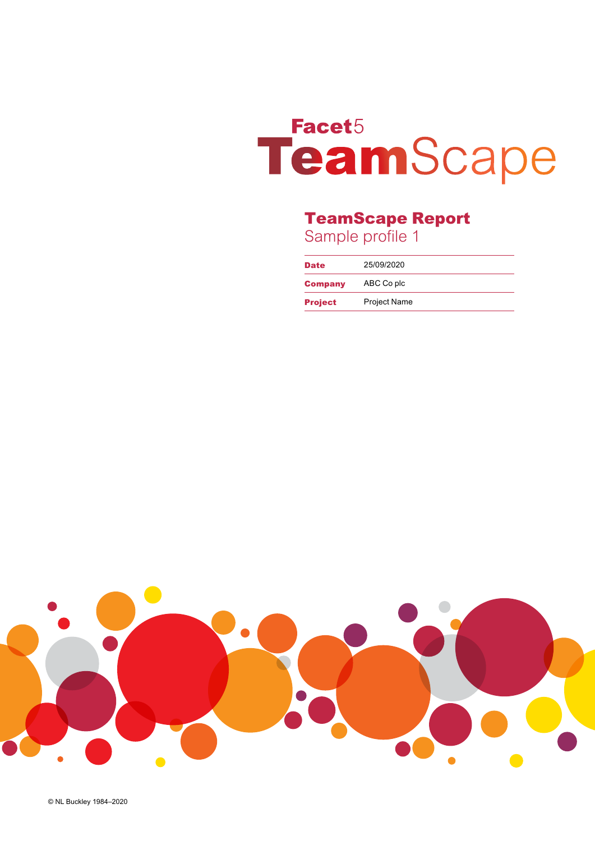

# *TeamScape Report Sample profile 1*

| <b>Date</b>    | 25/09/2020          |
|----------------|---------------------|
| <b>Company</b> | ABC Co plc          |
| <b>Project</b> | <b>Project Name</b> |



*© NL Buckley 1984–2*020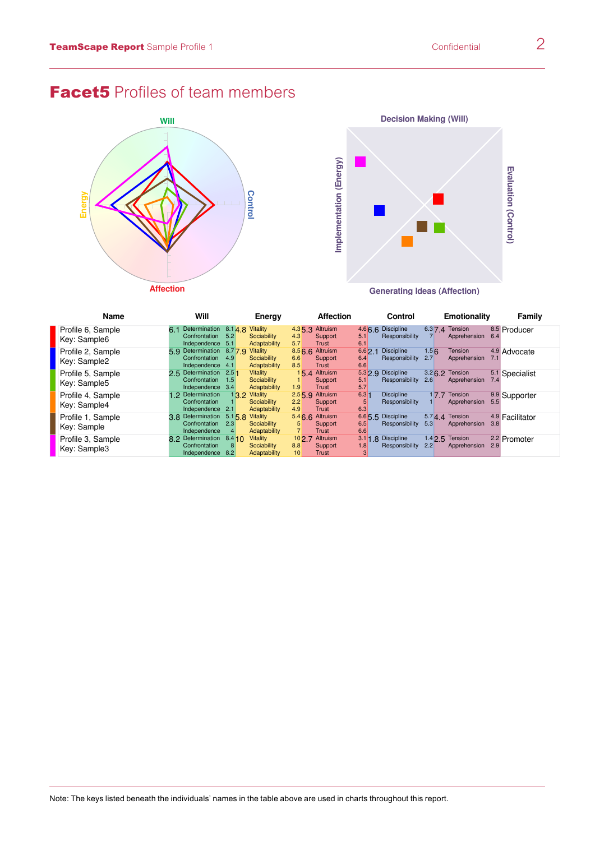# *Facet5 Profiles of team members* **Facet5 Profiles of Team Members**





| <b>Name</b>                       | Will                                                                                  | Energy                                                          | <b>Affection</b>                                       | Control                                                         | Emotionality                                                     | Family          |
|-----------------------------------|---------------------------------------------------------------------------------------|-----------------------------------------------------------------|--------------------------------------------------------|-----------------------------------------------------------------|------------------------------------------------------------------|-----------------|
| Profile 6, Sample<br>Key: Sample6 | Determination 8.1 4.8<br>6.1<br>Confrontation<br>5.2<br>Independence 5.1              | Vitality<br>Sociability<br>4.3<br>5.7<br>Adaptability           | 4.3 <sub>5.3</sub> Altruism<br><b>Support</b><br>Trust | 4.6 6.6 Discipline<br>Responsibility<br>5.1<br>6.1              | 6.3 7.4 Tension<br>Apprehension<br>6.4                           | 8.5 Producer    |
| Profile 2, Sample<br>Key: Sample2 | 5.9 Determination<br>8.779<br>Confrontation<br>4.9<br>Independence 4.1                | Vitality<br>Sociability<br>6.6<br>8.5<br>Adaptability           | 8.5 6.6 Altruism<br>Support<br>Trust                   | <b>Discipline</b><br>$6.6$ 2.1<br>Responsibility<br>6.4<br>6.6  | 1.5 <sub>6</sub><br><b>Tension</b><br>2.7<br>Apprehension<br>7.1 | 4.9 Advocate    |
| Profile 5, Sample<br>Key: Sample5 | 2.5 Determination<br>$2.5 \, \text{I}$<br>Confrontation<br>1.5<br>3.4<br>Independence | Vitality<br>Sociability<br>Adaptability<br>1.9                  | 15.4 Altruism<br>Support<br>Trust                      | 5.3 2.9 Discipline<br>Responsibility<br>5.1<br>5.7              | $3.26.2$ Tension<br>5.1<br>Apprehension<br>7.4<br>2.6            | Specialist      |
| Profile 4, Sample<br>Key: Sample4 | .2 Determination<br>13.2 <sub>1</sub><br><b>Confrontation</b><br>Independence 2.1     | Vitality<br>2.55.9<br>Sociability<br>2.2<br>Adaptability<br>4.9 | Altruism<br>Support<br>Trust                           | 6.3 1<br><b>Discipline</b><br>Responsibility<br>5<br>6.3        | 17.7<br>Tension<br>Apprehension<br>5.5                           | 9.9 Supporter   |
| Profile 1, Sample<br>Key: Sample  | 3.8 Determination<br>5.15.8<br>Confrontation<br>2.3<br>Independence                   | Vitality<br>Sociability<br>5<br>Adaptability                    | 5.4 6.6 Altruism<br><b>Support</b><br>Trust            | 6.6 <sub>5.5</sub> Discipline<br>Responsibility<br>6.5<br>6.6   | $5.744$ Tension<br>Apprehension<br>3.8<br>5.3                    | 4.9 Facilitator |
| Profile 3, Sample<br>Key: Sample3 | 8.2 Determination<br>8.410<br>Confrontation<br>Independence<br>8.2                    | Vitality<br>102.7<br>Sociability<br>8.8<br>10<br>Adaptability   | Altruism<br>Support<br><b>Trust</b>                    | $3.1$ 1.8 Discipline<br>Responsibility<br>1.8<br>3 <sup>1</sup> | $1.4$ $2.5$ Tension<br>Apprehension<br>2.9<br>2.2                | 2.2 Promoter    |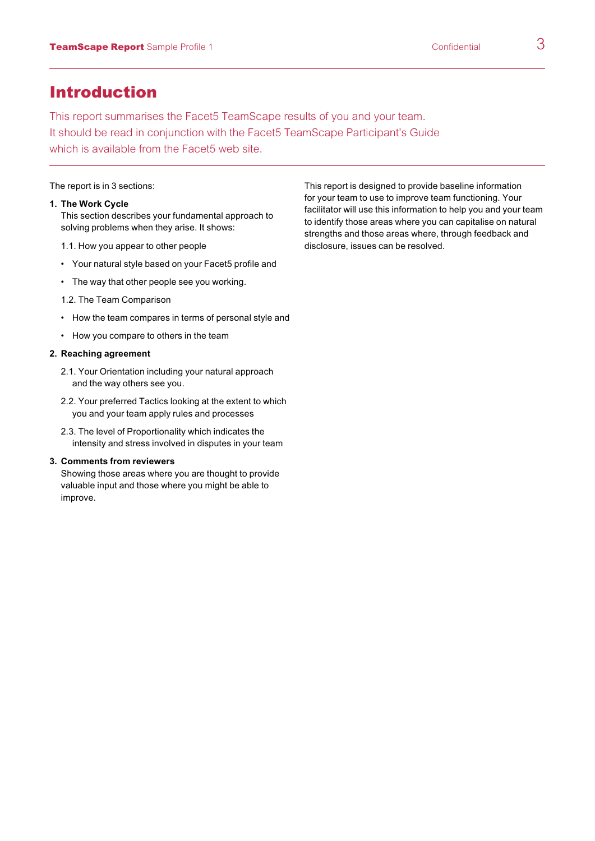## *Introduction*

*This report summarises the Facet5 TeamScape results of you and your team. It should be read in conjunction with the Facet5 TeamScape Participant's Guide which is available from the Facet5 web site.* 

*The report is in 3 sections:*

#### *1. The Work Cycle*

*This section describes your fundamental approach to solving problems when they arise. It shows:*

*1.1. How you appear to other people*

- *• Your natural style based on your Facet5 profile and*
- *• The way that other people see you working.*
- *1.2. The Team Comparison*
- *• How the team compares in terms of personal style and*
- *• How you compare to others in the team*

### *2. Reaching agreement*

- *2.1. Your Orientation including your natural approach and the way others see you.*
- *2.2. Your preferred Tactics looking at the extent to which you and your team apply rules and processes*
- *2.3. The level of Proportionality which indicates the intensity and stress involved in disputes in your team*

#### *3. Comments from reviewers*

*Showing those areas where you are thought to provide valuable input and those where you might be able to improve.*

*This report is designed to provide baseline information for your team to use to improve team functioning. Your facilitator will use this information to help you and your team to identify those areas where you can capitalise on natural strengths and those areas where, through feedback and disclosure, issues can be resolved.*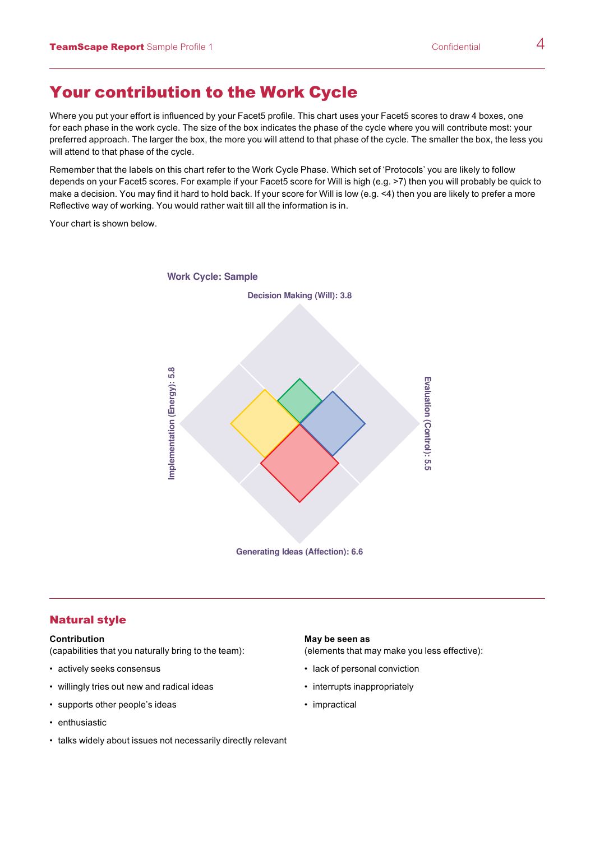### *Your contribution to the Work Cycle*

Where you put your effort is influenced by your Facet5 profile. This chart uses your Facet5 scores to draw 4 boxes, one *for each phase in the work cycle. The size of the box indicates the phase of the cycle where you will contribute most: your*  preferred approach. The larger the box, the more you will attend to that phase of the cycle. The smaller the box, the less you *will attend to that phase of the cycle.* 

Remember that the labels on this chart refer to the Work Cycle Phase. Which set of 'Protocols' you are likely to follow depends on your Facet5 scores. For example if your Facet5 score for Will is high (e.g. >7) then you will probably be quick to make a decision. You may find it hard to hold back. If your score for Will is low (e.g. <4) then you are likely to prefer a more Reflective way of working. You would rather wait till all the information is in. Remember that the labels on this chart feler to the work Cycle Phase. Which set of Protocols you are likely to follow

Your chart is shown below. The new you will probably be quick to make a decision of the state a decision of the



### **Natural style**

#### *Contribution*

(capabilities that you naturally bring to the team): *(elements that may make yournaly capabilities* 

- $\cdot$  sother people concerning - enthusiastic *• actively seeks consensus*
- **•** willingly tries out new and radical ideas
- supports other people's ideas
- *• enthusiastic*
- *• talks widely about issues not necessarily directly relevant*

#### $\blacksquare$  contribution  $\blacksquare$

*(elements that may make you less effective):*

- *• lack of personal conviction*
- *• interrupts inappropriately*
- *• impractical*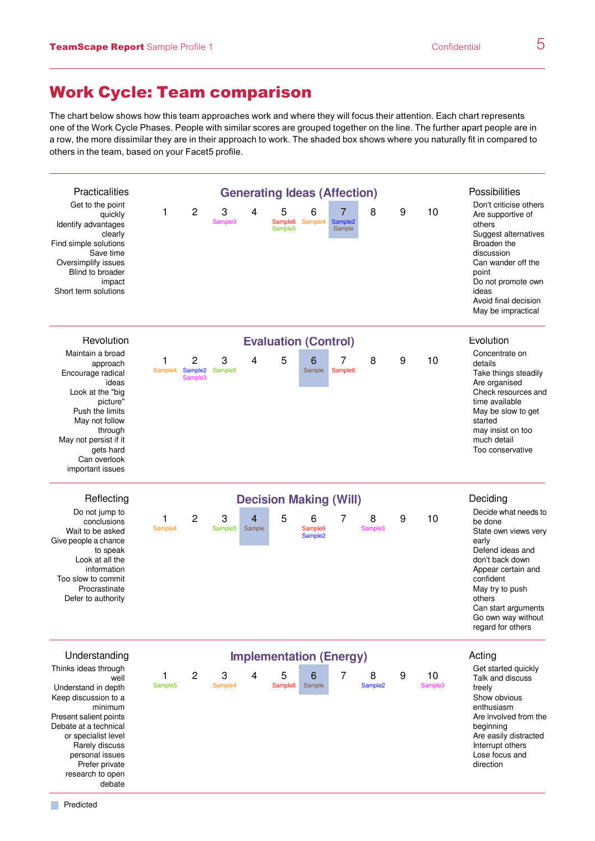# **Work Cycle: Team comparison**

**The chart below shows how this team approaches work and where they will focus their attention. Each chart represents**  $\alpha$  **and**  $\alpha$  **and**  $\alpha$  **and**  $\alpha$  **and**  $\alpha$  **and**  $\alpha$  **and**  $\alpha$  **and**  $\alpha$  **and**  $\alpha$  **and**  $\alpha$  **and**  $\alpha$  **and**  $\alpha$ one of the Work Cycle Phases. People with similar scores are grouped together on the line. The further apart people are in<br>a row, the more dissimilar they are in their approach to work. The shaded box shows where you natur a row, the more dissimilar they are in their approach to work. The shaded box shows where you naturally fit in compared to<br>others in the team, based an your Ecoet5 profile a row, the more dissimilar they are in their approach to work. The shaded box shows where you haturally in in compared to<br>others in the team, based on your Facet5 profile.

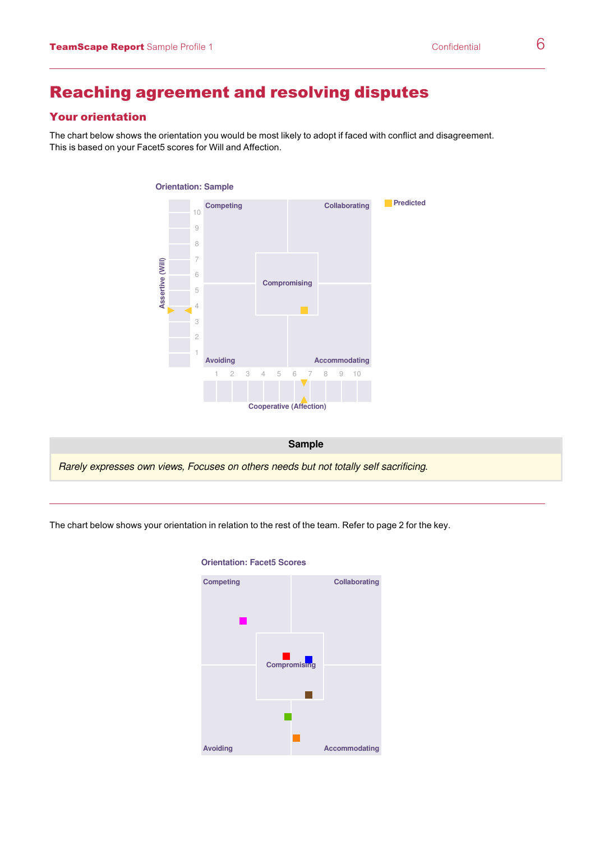#### *Reaching agreement and resolving disputes* **Reaching agreement and resolving disputes** rocolvin

### *Your orientation*

The chart below shows the orientation you would be most likely to adopt if faced with conflict and disagreement. *This is based on your Facet5 scores for Will and Affection.* The chart below shows the orientation you would be most likely to adopt if faced with conflict and disagreement. This **Reaching agreement and resolving disputes**





*The chart below shows your orientation in relation to the rest of the team. Refer to page 2 for the key.* **Orientation: Facet5 Scores**

The chart below shows your orientation in relation to the rest of the team. Refer to page 2 for the key.



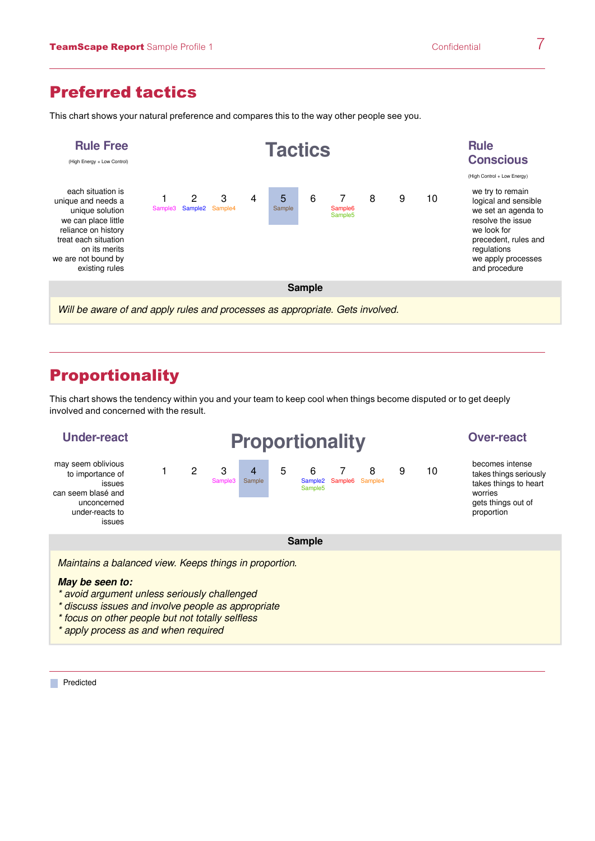### *Preferred tactics*

**This chart shows your natural preference and compares this to the way other people see you. s** this to the way of

*Will be aware of and apply rules and processes as appropriate. Gets involved.*



### **Proportionality** the tendency with you and you and you are shown to keep cool when the tendency with the tendency of the tendency of the tendency of the tendency of the tendency of the tendency of the tendency of the tend Proportionality

**Proportionality**

This chart shows the tendency within you and your team to keep cool when things become disputed or to get deeply<br>involved and concerned with the result *i*nd chart shows the tenderly within you and your team to keep cool when allings become disputed or to get deeply<br>involved and concerned with the result.  $T_{\rm F}$  and concerned with the result.



- *\* discuss issues and involve people as appropriate avoid argument unless seriously challenged*
- *\* focus on other people but not totally selfless discuss issuesand involve people as appropriate*
- *focusal <i>s as and when required buther peoply process as and when required \* apply process as and when required*

```
<u>Predicted</u>
Predicted
```